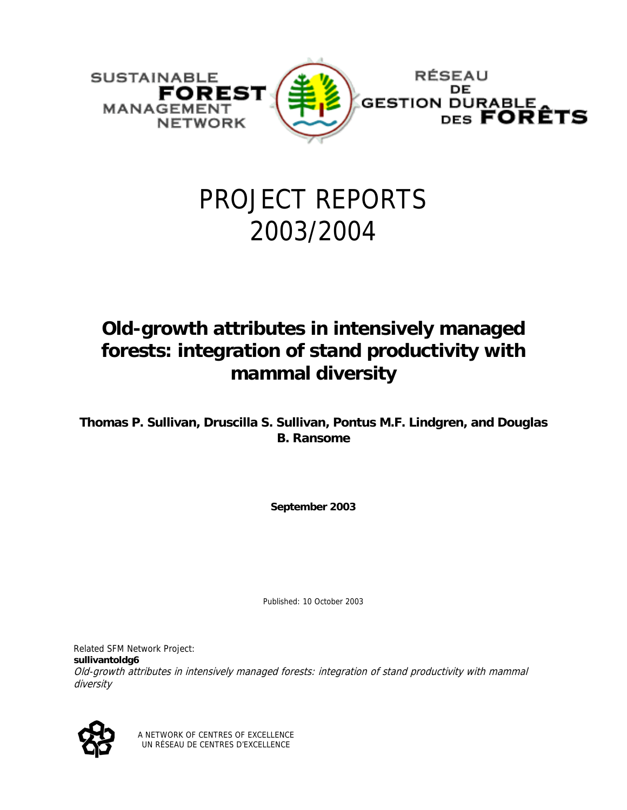

# PROJECT REPORTS 2003/2004

## **Old-growth attributes in intensively managed forests: integration of stand productivity with mammal diversity**

**Thomas P. Sullivan, Druscilla S. Sullivan, Pontus M.F. Lindgren, and Douglas B. Ransome** 

**September 2003** 

Published: 10 October 2003

Related SFM Network Project: **sullivantoldg6** Old-growth attributes in intensively managed forests: integration of stand productivity with mammal diversity



A NETWORK OF CENTRES OF EXCELLENCE UN RÉSEAU DE CENTRES D'EXCELLENCE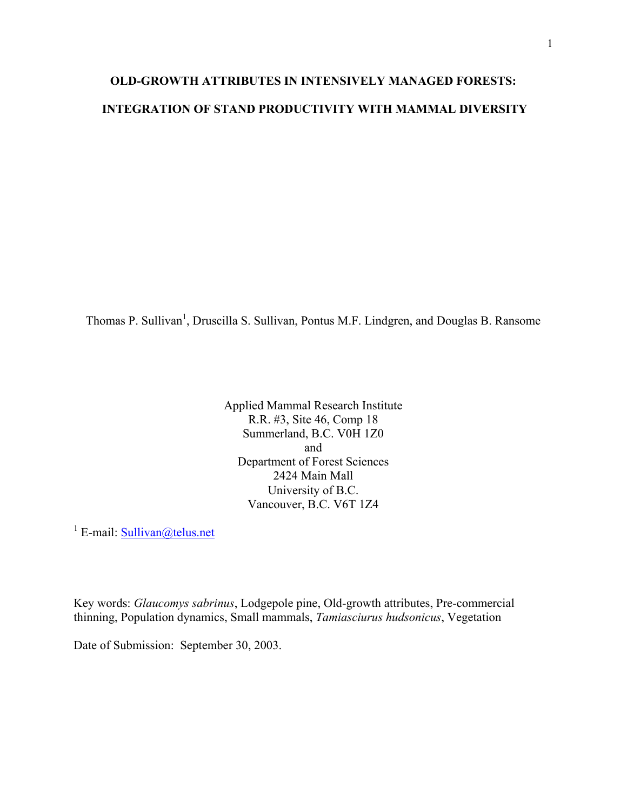### **OLD-GROWTH ATTRIBUTES IN INTENSIVELY MANAGED FORESTS: INTEGRATION OF STAND PRODUCTIVITY WITH MAMMAL DIVERSITY**

Thomas P. Sullivan<sup>1</sup>, Druscilla S. Sullivan, Pontus M.F. Lindgren, and Douglas B. Ransome

Applied Mammal Research Institute R.R. #3, Site 46, Comp 18 Summerland, B.C. V0H 1Z0 and Department of Forest Sciences 2424 Main Mall University of B.C. Vancouver, B.C. V6T 1Z4

<sup>1</sup> E-mail: **Sullivan**@telus.net

Key words: *Glaucomys sabrinus*, Lodgepole pine, Old-growth attributes, Pre-commercial thinning, Population dynamics, Small mammals, *Tamiasciurus hudsonicus*, Vegetation

Date of Submission: September 30, 2003.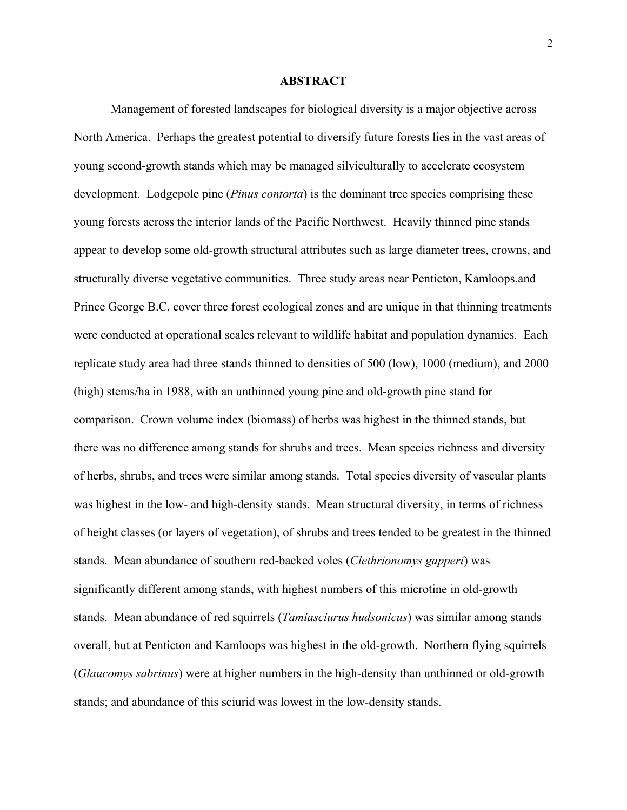#### **ABSTRACT**

Management of forested landscapes for biological diversity is a major objective across North America. Perhaps the greatest potential to diversify future forests lies in the vast areas of young second-growth stands which may be managed silviculturally to accelerate ecosystem development. Lodgepole pine (*Pinus contorta*) is the dominant tree species comprising these young forests across the interior lands of the Pacific Northwest. Heavily thinned pine stands appear to develop some old-growth structural attributes such as large diameter trees, crowns, and structurally diverse vegetative communities. Three study areas near Penticton, Kamloops,and Prince George B.C. cover three forest ecological zones and are unique in that thinning treatments were conducted at operational scales relevant to wildlife habitat and population dynamics. Each replicate study area had three stands thinned to densities of 500 (low), 1000 (medium), and 2000 (high) stems/ha in 1988, with an unthinned young pine and old-growth pine stand for comparison. Crown volume index (biomass) of herbs was highest in the thinned stands, but there was no difference among stands for shrubs and trees. Mean species richness and diversity of herbs, shrubs, and trees were similar among stands. Total species diversity of vascular plants was highest in the low- and high-density stands. Mean structural diversity, in terms of richness of height classes (or layers of vegetation), of shrubs and trees tended to be greatest in the thinned stands. Mean abundance of southern red-backed voles (*Clethrionomys gapperi*) was significantly different among stands, with highest numbers of this microtine in old-growth stands. Mean abundance of red squirrels (*Tamiasciurus hudsonicus*) was similar among stands overall, but at Penticton and Kamloops was highest in the old-growth. Northern flying squirrels (*Glaucomys sabrinus*) were at higher numbers in the high-density than unthinned or old-growth stands; and abundance of this sciurid was lowest in the low-density stands.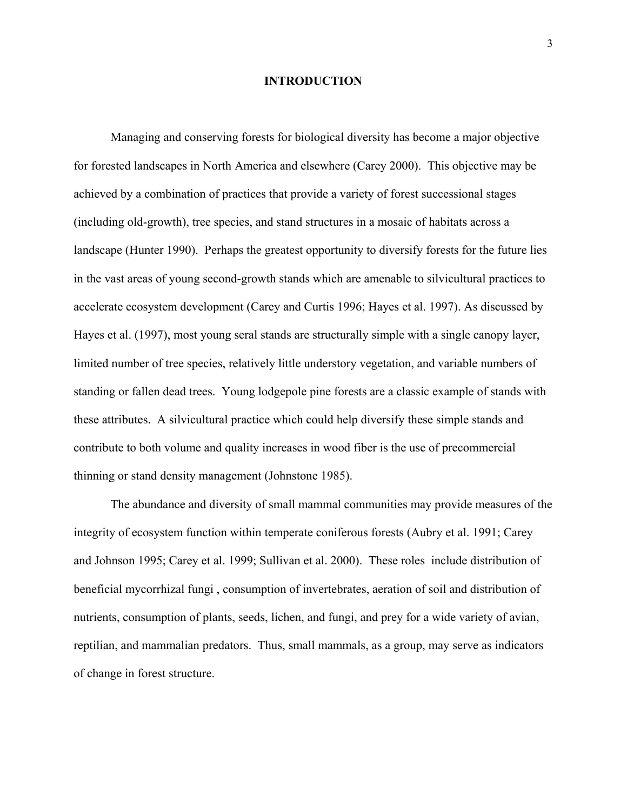#### **INTRODUCTION**

Managing and conserving forests for biological diversity has become a major objective for forested landscapes in North America and elsewhere (Carey 2000). This objective may be achieved by a combination of practices that provide a variety of forest successional stages (including old-growth), tree species, and stand structures in a mosaic of habitats across a landscape (Hunter 1990). Perhaps the greatest opportunity to diversify forests for the future lies in the vast areas of young second-growth stands which are amenable to silvicultural practices to accelerate ecosystem development (Carey and Curtis 1996; Hayes et al. 1997). As discussed by Hayes et al. (1997), most young seral stands are structurally simple with a single canopy layer, limited number of tree species, relatively little understory vegetation, and variable numbers of standing or fallen dead trees. Young lodgepole pine forests are a classic example of stands with these attributes. A silvicultural practice which could help diversify these simple stands and contribute to both volume and quality increases in wood fiber is the use of precommercial thinning or stand density management (Johnstone 1985).

The abundance and diversity of small mammal communities may provide measures of the integrity of ecosystem function within temperate coniferous forests (Aubry et al. 1991; Carey and Johnson 1995; Carey et al. 1999; Sullivan et al. 2000). These roles include distribution of beneficial mycorrhizal fungi , consumption of invertebrates, aeration of soil and distribution of nutrients, consumption of plants, seeds, lichen, and fungi, and prey for a wide variety of avian, reptilian, and mammalian predators. Thus, small mammals, as a group, may serve as indicators of change in forest structure.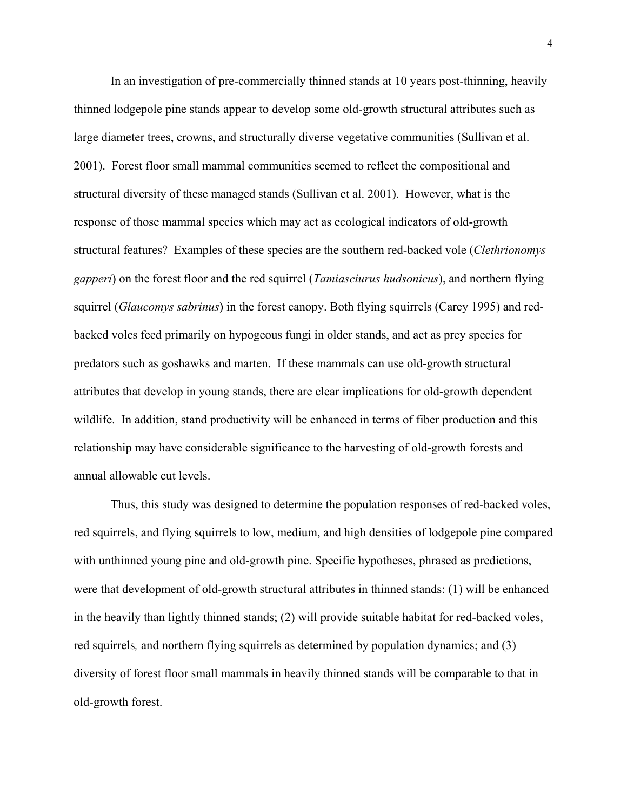In an investigation of pre-commercially thinned stands at 10 years post-thinning, heavily thinned lodgepole pine stands appear to develop some old-growth structural attributes such as large diameter trees, crowns, and structurally diverse vegetative communities (Sullivan et al. 2001). Forest floor small mammal communities seemed to reflect the compositional and structural diversity of these managed stands (Sullivan et al. 2001). However, what is the response of those mammal species which may act as ecological indicators of old-growth structural features? Examples of these species are the southern red-backed vole (*Clethrionomys gapperi*) on the forest floor and the red squirrel (*Tamiasciurus hudsonicus*), and northern flying squirrel (*Glaucomys sabrinus*) in the forest canopy. Both flying squirrels (Carey 1995) and redbacked voles feed primarily on hypogeous fungi in older stands, and act as prey species for predators such as goshawks and marten. If these mammals can use old-growth structural attributes that develop in young stands, there are clear implications for old-growth dependent wildlife. In addition, stand productivity will be enhanced in terms of fiber production and this relationship may have considerable significance to the harvesting of old-growth forests and annual allowable cut levels.

Thus, this study was designed to determine the population responses of red-backed voles, red squirrels, and flying squirrels to low, medium, and high densities of lodgepole pine compared with unthinned young pine and old-growth pine. Specific hypotheses, phrased as predictions, were that development of old-growth structural attributes in thinned stands: (1) will be enhanced in the heavily than lightly thinned stands; (2) will provide suitable habitat for red-backed voles, red squirrels*,* and northern flying squirrels as determined by population dynamics; and (3) diversity of forest floor small mammals in heavily thinned stands will be comparable to that in old-growth forest.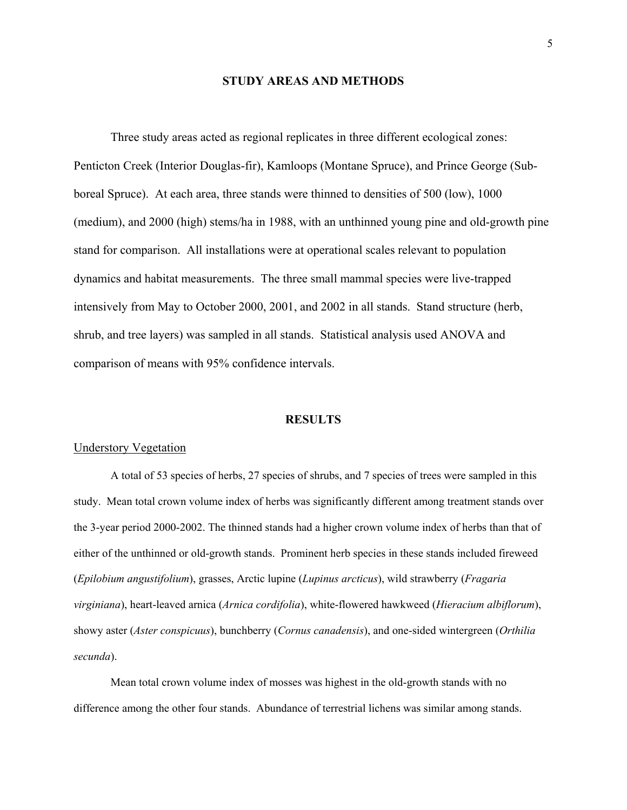#### **STUDY AREAS AND METHODS**

Three study areas acted as regional replicates in three different ecological zones: Penticton Creek (Interior Douglas-fir), Kamloops (Montane Spruce), and Prince George (Subboreal Spruce). At each area, three stands were thinned to densities of 500 (low), 1000 (medium), and 2000 (high) stems/ha in 1988, with an unthinned young pine and old-growth pine stand for comparison. All installations were at operational scales relevant to population dynamics and habitat measurements. The three small mammal species were live-trapped intensively from May to October 2000, 2001, and 2002 in all stands. Stand structure (herb, shrub, and tree layers) was sampled in all stands. Statistical analysis used ANOVA and comparison of means with 95% confidence intervals.

#### **RESULTS**

#### Understory Vegetation

A total of 53 species of herbs, 27 species of shrubs, and 7 species of trees were sampled in this study. Mean total crown volume index of herbs was significantly different among treatment stands over the 3-year period 2000-2002. The thinned stands had a higher crown volume index of herbs than that of either of the unthinned or old-growth stands. Prominent herb species in these stands included fireweed (*Epilobium angustifolium*), grasses, Arctic lupine (*Lupinus arcticus*), wild strawberry (*Fragaria virginiana*), heart-leaved arnica (*Arnica cordifolia*), white-flowered hawkweed (*Hieracium albiflorum*), showy aster (*Aster conspicuus*), bunchberry (*Cornus canadensis*), and one-sided wintergreen (*Orthilia secunda*).

Mean total crown volume index of mosses was highest in the old-growth stands with no difference among the other four stands. Abundance of terrestrial lichens was similar among stands.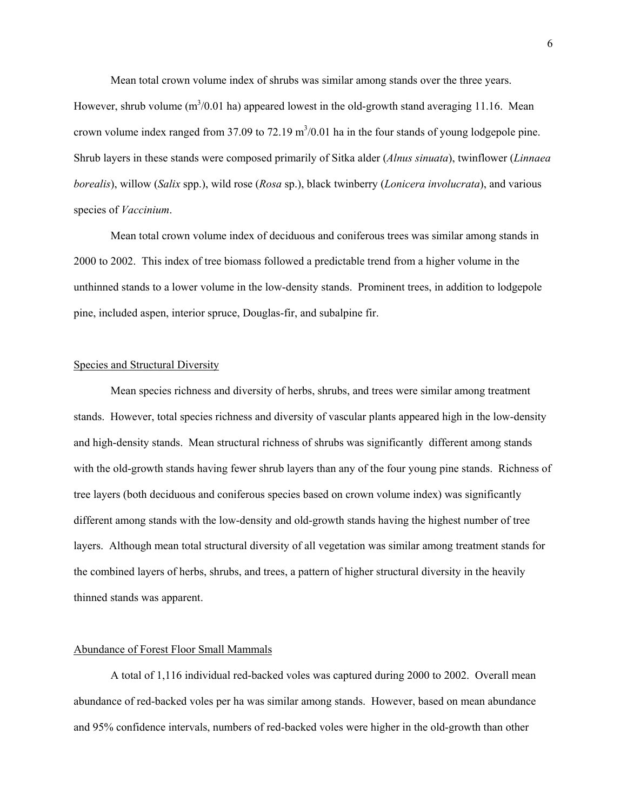Mean total crown volume index of shrubs was similar among stands over the three years. However, shrub volume  $(m^3/0.01$  ha) appeared lowest in the old-growth stand averaging 11.16. Mean crown volume index ranged from  $37.09$  to  $72.19 \text{ m}^3/0.01$  ha in the four stands of young lodgepole pine. Shrub layers in these stands were composed primarily of Sitka alder (*Alnus sinuata*), twinflower (*Linnaea borealis*), willow (*Salix* spp.), wild rose (*Rosa* sp.), black twinberry (*Lonicera involucrata*), and various species of *Vaccinium*.

Mean total crown volume index of deciduous and coniferous trees was similar among stands in 2000 to 2002. This index of tree biomass followed a predictable trend from a higher volume in the unthinned stands to a lower volume in the low-density stands. Prominent trees, in addition to lodgepole pine, included aspen, interior spruce, Douglas-fir, and subalpine fir.

#### Species and Structural Diversity

Mean species richness and diversity of herbs, shrubs, and trees were similar among treatment stands. However, total species richness and diversity of vascular plants appeared high in the low-density and high-density stands. Mean structural richness of shrubs was significantly different among stands with the old-growth stands having fewer shrub layers than any of the four young pine stands. Richness of tree layers (both deciduous and coniferous species based on crown volume index) was significantly different among stands with the low-density and old-growth stands having the highest number of tree layers. Although mean total structural diversity of all vegetation was similar among treatment stands for the combined layers of herbs, shrubs, and trees, a pattern of higher structural diversity in the heavily thinned stands was apparent.

#### Abundance of Forest Floor Small Mammals

A total of 1,116 individual red-backed voles was captured during 2000 to 2002. Overall mean abundance of red-backed voles per ha was similar among stands. However, based on mean abundance and 95% confidence intervals, numbers of red-backed voles were higher in the old-growth than other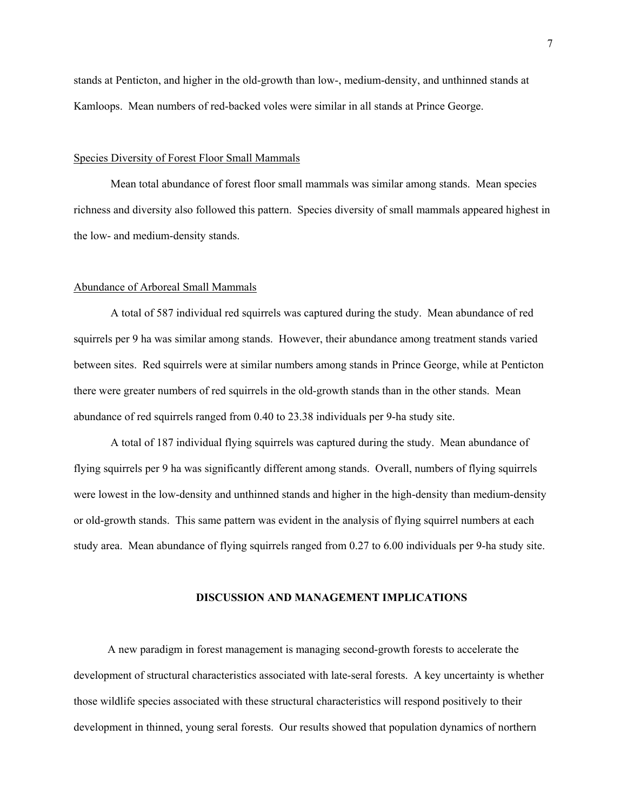stands at Penticton, and higher in the old-growth than low-, medium-density, and unthinned stands at Kamloops. Mean numbers of red-backed voles were similar in all stands at Prince George.

#### Species Diversity of Forest Floor Small Mammals

Mean total abundance of forest floor small mammals was similar among stands. Mean species richness and diversity also followed this pattern. Species diversity of small mammals appeared highest in the low- and medium-density stands.

#### Abundance of Arboreal Small Mammals

A total of 587 individual red squirrels was captured during the study. Mean abundance of red squirrels per 9 ha was similar among stands. However, their abundance among treatment stands varied between sites. Red squirrels were at similar numbers among stands in Prince George, while at Penticton there were greater numbers of red squirrels in the old-growth stands than in the other stands. Mean abundance of red squirrels ranged from 0.40 to 23.38 individuals per 9-ha study site.

A total of 187 individual flying squirrels was captured during the study. Mean abundance of flying squirrels per 9 ha was significantly different among stands. Overall, numbers of flying squirrels were lowest in the low-density and unthinned stands and higher in the high-density than medium-density or old-growth stands. This same pattern was evident in the analysis of flying squirrel numbers at each study area. Mean abundance of flying squirrels ranged from 0.27 to 6.00 individuals per 9-ha study site.

#### **DISCUSSION AND MANAGEMENT IMPLICATIONS**

 A new paradigm in forest management is managing second-growth forests to accelerate the development of structural characteristics associated with late-seral forests. A key uncertainty is whether those wildlife species associated with these structural characteristics will respond positively to their development in thinned, young seral forests. Our results showed that population dynamics of northern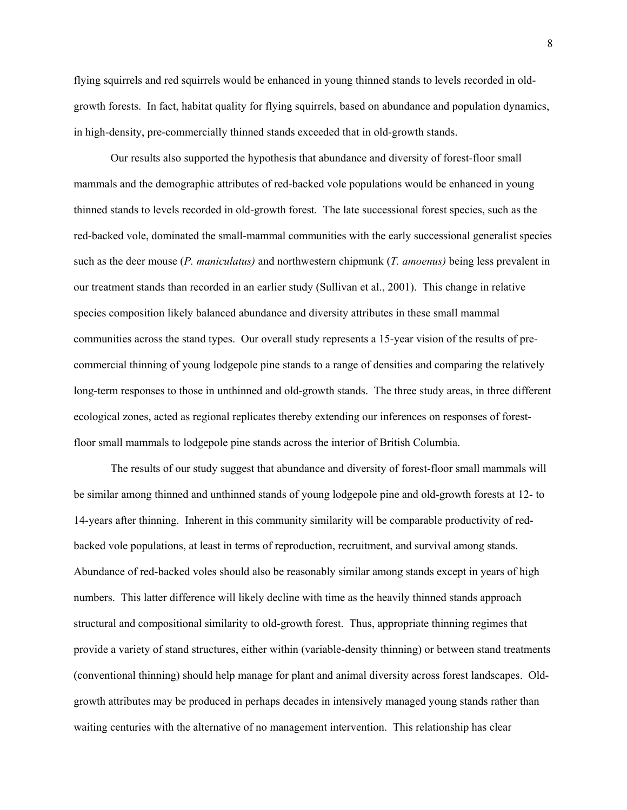flying squirrels and red squirrels would be enhanced in young thinned stands to levels recorded in oldgrowth forests. In fact, habitat quality for flying squirrels, based on abundance and population dynamics, in high-density, pre-commercially thinned stands exceeded that in old-growth stands.

Our results also supported the hypothesis that abundance and diversity of forest-floor small mammals and the demographic attributes of red-backed vole populations would be enhanced in young thinned stands to levels recorded in old-growth forest. The late successional forest species, such as the red-backed vole, dominated the small-mammal communities with the early successional generalist species such as the deer mouse (*P. maniculatus)* and northwestern chipmunk (*T. amoenus)* being less prevalent in our treatment stands than recorded in an earlier study (Sullivan et al., 2001). This change in relative species composition likely balanced abundance and diversity attributes in these small mammal communities across the stand types. Our overall study represents a 15-year vision of the results of precommercial thinning of young lodgepole pine stands to a range of densities and comparing the relatively long-term responses to those in unthinned and old-growth stands. The three study areas, in three different ecological zones, acted as regional replicates thereby extending our inferences on responses of forestfloor small mammals to lodgepole pine stands across the interior of British Columbia.

The results of our study suggest that abundance and diversity of forest-floor small mammals will be similar among thinned and unthinned stands of young lodgepole pine and old-growth forests at 12- to 14-years after thinning. Inherent in this community similarity will be comparable productivity of redbacked vole populations, at least in terms of reproduction, recruitment, and survival among stands. Abundance of red-backed voles should also be reasonably similar among stands except in years of high numbers. This latter difference will likely decline with time as the heavily thinned stands approach structural and compositional similarity to old-growth forest. Thus, appropriate thinning regimes that provide a variety of stand structures, either within (variable-density thinning) or between stand treatments (conventional thinning) should help manage for plant and animal diversity across forest landscapes. Oldgrowth attributes may be produced in perhaps decades in intensively managed young stands rather than waiting centuries with the alternative of no management intervention. This relationship has clear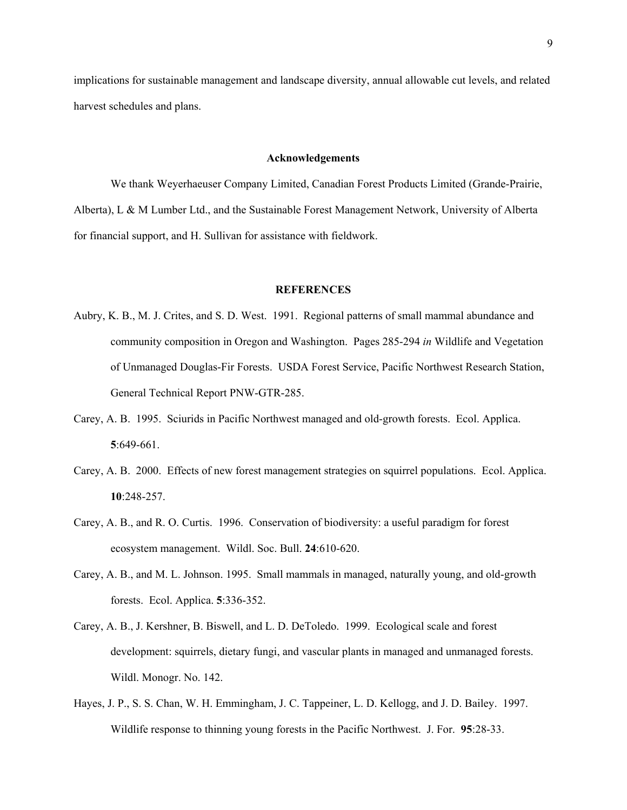implications for sustainable management and landscape diversity, annual allowable cut levels, and related harvest schedules and plans.

#### **Acknowledgements**

We thank Weyerhaeuser Company Limited, Canadian Forest Products Limited (Grande-Prairie, Alberta), L & M Lumber Ltd., and the Sustainable Forest Management Network, University of Alberta for financial support, and H. Sullivan for assistance with fieldwork.

#### **REFERENCES**

- Aubry, K. B., M. J. Crites, and S. D. West. 1991. Regional patterns of small mammal abundance and community composition in Oregon and Washington. Pages 285-294 *in* Wildlife and Vegetation of Unmanaged Douglas-Fir Forests. USDA Forest Service, Pacific Northwest Research Station, General Technical Report PNW-GTR-285.
- Carey, A. B. 1995. Sciurids in Pacific Northwest managed and old-growth forests. Ecol. Applica. **5**:649-661.
- Carey, A. B. 2000. Effects of new forest management strategies on squirrel populations. Ecol. Applica. **10**:248-257.
- Carey, A. B., and R. O. Curtis. 1996. Conservation of biodiversity: a useful paradigm for forest ecosystem management. Wildl. Soc. Bull. **24**:610-620.
- Carey, A. B., and M. L. Johnson. 1995. Small mammals in managed, naturally young, and old-growth forests. Ecol. Applica. **5**:336-352.
- Carey, A. B., J. Kershner, B. Biswell, and L. D. DeToledo. 1999. Ecological scale and forest development: squirrels, dietary fungi, and vascular plants in managed and unmanaged forests. Wildl. Monogr. No. 142.
- Hayes, J. P., S. S. Chan, W. H. Emmingham, J. C. Tappeiner, L. D. Kellogg, and J. D. Bailey. 1997. Wildlife response to thinning young forests in the Pacific Northwest. J. For. **95**:28-33.